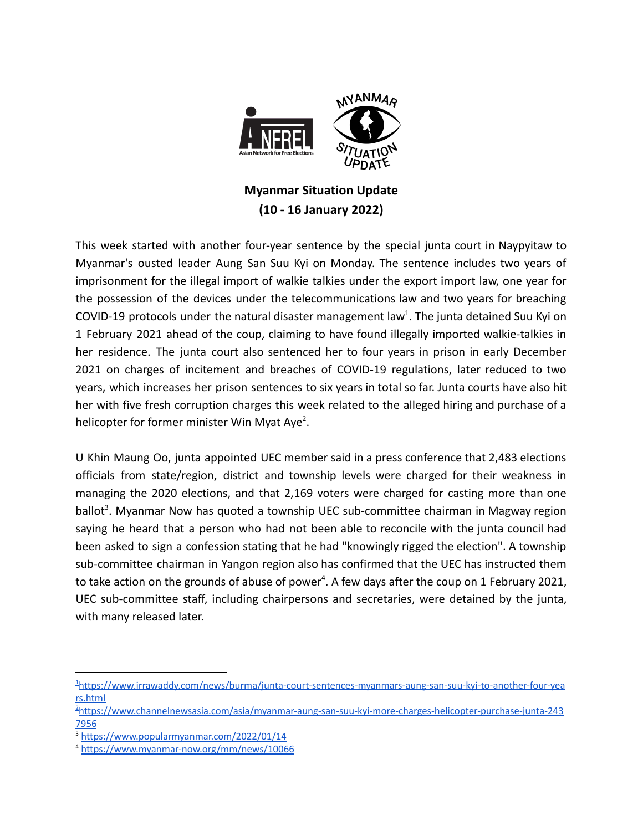

## **Myanmar Situation Update (10 - 16 January 2022)**

This week started with another four-year sentence by the special junta court in Naypyitaw to Myanmar's ousted leader Aung San Suu Kyi on Monday. The sentence includes two years of imprisonment for the illegal import of walkie talkies under the export import law, one year for the possession of the devices under the telecommunications law and two years for breaching COVID-19 protocols under the natural disaster management law<sup>1</sup>. The junta detained Suu Kyi on 1 February 2021 ahead of the coup, claiming to have found illegally imported walkie-talkies in her residence. The junta court also sentenced her to four years in prison in early December 2021 on charges of incitement and breaches of COVID-19 regulations, later reduced to two years, which increases her prison sentences to six years in total so far. Junta courts have also hit her with five fresh corruption charges this week related to the alleged hiring and purchase of a helicopter for former minister Win Myat Aye<sup>2</sup>.

U Khin Maung Oo, junta appointed UEC member said in a press conference that 2,483 elections officials from state/region, district and township levels were charged for their weakness in managing the 2020 elections, and that 2,169 voters were charged for casting more than one ballot<sup>3</sup>. Myanmar Now has quoted a township UEC sub-committee chairman in Magway region saying he heard that a person who had not been able to reconcile with the junta council had been asked to sign a confession stating that he had "knowingly rigged the election". A township sub-committee chairman in Yangon region also has confirmed that the UEC has instructed them to take action on the grounds of abuse of power<sup>4</sup>. A few days after the coup on 1 February 2021, UEC sub-committee staff, including chairpersons and secretaries, were detained by the junta, with many released later.

<sup>1</sup>[https://www.irrawaddy.com/news/burma/junta-court-sentences-myanmars-aung-san-suu-kyi-to-another-four-yea](https://www.irrawaddy.com/news/burma/junta-court-sentences-myanmars-aung-san-suu-kyi-to-another-four-years.html) [rs.html](https://www.irrawaddy.com/news/burma/junta-court-sentences-myanmars-aung-san-suu-kyi-to-another-four-years.html)

<sup>2</sup>[https://www.channelnewsasia.com/asia/myanmar-aung-san-suu-kyi-more-charges-helicopter-purchase-junta-243](https://www.channelnewsasia.com/asia/myanmar-aung-san-suu-kyi-more-charges-helicopter-purchase-junta-2437956) [7956](https://www.channelnewsasia.com/asia/myanmar-aung-san-suu-kyi-more-charges-helicopter-purchase-junta-2437956)

<sup>3</sup> [https://www.popularmyanmar.com/2022/01/14](https://www.popularmyanmar.com/2022/01/14/%e1%80%9b%e1%80%bd%e1%80%b1%e1%80%b8%e1%80%80%e1%80%b1%e1%80%ac%e1%80%80%e1%80%ba%e1%80%95%e1%80%bd%e1%80%b2%e1%80%80%e1%80%ad%e1%80%85%e1%80%b9%e1%80%85%e1%80%94%e1%80%be%e1%80%84%e1%80%b7%e1%80%ba/)

<sup>4</sup> <https://www.myanmar-now.org/mm/news/10066>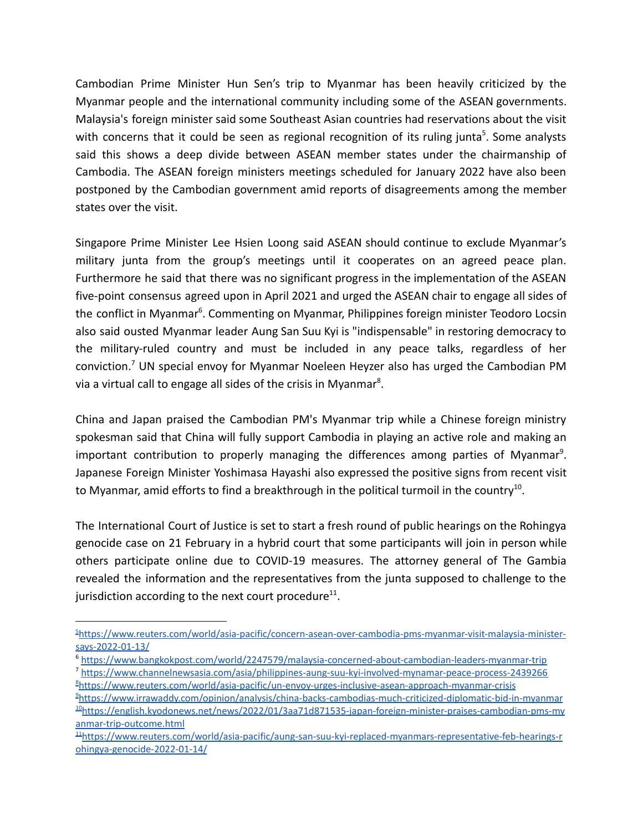Cambodian Prime Minister Hun Sen's trip to Myanmar has been heavily criticized by the Myanmar people and the international community including some of the ASEAN governments. Malaysia's foreign minister said some Southeast Asian countries had reservations about the visit with concerns that it could be seen as regional recognition of its ruling junta<sup>5</sup>. Some analysts said this shows a deep divide between ASEAN member states under the chairmanship of Cambodia. The ASEAN foreign ministers meetings scheduled for January 2022 have also been postponed by the Cambodian government amid reports of disagreements among the member states over the visit.

Singapore Prime Minister Lee Hsien Loong said ASEAN should continue to exclude Myanmar's military junta from the group's meetings until it cooperates on an agreed peace plan. Furthermore he said that there was no significant progress in the implementation of the ASEAN five-point consensus agreed upon in April 2021 and urged the ASEAN chair to engage all sides of the conflict in Myanmar<sup>6</sup>. Commenting on Myanmar, Philippines foreign minister Teodoro Locsin also said ousted Myanmar leader Aung San Suu Kyi is "indispensable" in restoring democracy to the military-ruled country and must be included in any peace talks, regardless of her conviction.<sup>7</sup> UN special envoy for Myanmar Noeleen Heyzer also has urged the Cambodian PM via a virtual call to engage all sides of the crisis in Myanmar<sup>8</sup>.

China and Japan praised the Cambodian PM's Myanmar trip while a Chinese foreign ministry spokesman said that China will fully support Cambodia in playing an active role and making an important contribution to properly managing the differences among parties of Myanmar<sup>9</sup>. Japanese Foreign Minister Yoshimasa Hayashi also expressed the positive signs from recent visit to Myanmar, amid efforts to find a breakthrough in the political turmoil in the country<sup>10</sup>.

The International Court of Justice is set to start a fresh round of public hearings on the Rohingya genocide case on 21 February in a hybrid court that some participants will join in person while others participate online due to COVID-19 measures. The attorney general of The Gambia revealed the information and the representatives from the junta supposed to challenge to the jurisdiction according to the next court procedure $^{11}$ .

<sup>5</sup>[https://www.reuters.com/world/asia-pacific/concern-asean-over-cambodia-pms-myanmar-visit-malaysia-minister](https://www.reuters.com/world/asia-pacific/concern-asean-over-cambodia-pms-myanmar-visit-malaysia-minister-says-2022-01-13/)[says-2022-01-13/](https://www.reuters.com/world/asia-pacific/concern-asean-over-cambodia-pms-myanmar-visit-malaysia-minister-says-2022-01-13/)

<sup>6</sup> <https://www.bangkokpost.com/world/2247579/malaysia-concerned-about-cambodian-leaders-myanmar-trip>

<sup>8</sup>[https://www.reuters.com/world/asia-pacific/un-envoy-urges-inclusive-asean-approach-myanmar-crisis](https://www.reuters.com/world/asia-pacific/un-envoy-urges-inclusive-asean-approach-myanmar-crisis-2022-01-13/) <sup>7</sup> <https://www.channelnewsasia.com/asia/philippines-aung-suu-kyi-involved-mynamar-peace-process-2439266>

<sup>10</sup>[https://english.kyodonews.net/news/2022/01/3aa71d871535-japan-foreign-minister-praises-cambodian-pms-my](https://english.kyodonews.net/news/2022/01/3aa71d871535-japan-foreign-minister-praises-cambodian-pms-myanmar-trip-outcome.html) [anmar-trip-outcome.html](https://english.kyodonews.net/news/2022/01/3aa71d871535-japan-foreign-minister-praises-cambodian-pms-myanmar-trip-outcome.html) <sup>9</sup>[https://www.irrawaddy.com/opinion/analysis/china-backs-cambodias-much-criticized-diplomatic-bid-in-myanmar](https://www.irrawaddy.com/opinion/analysis/china-backs-cambodias-much-criticized-diplomatic-bid-in-myanmar.html)

<sup>11</sup>[https://www.reuters.com/world/asia-pacific/aung-san-suu-kyi-replaced-myanmars-representative-feb-hearings-r](https://www.reuters.com/world/asia-pacific/aung-san-suu-kyi-replaced-myanmars-representative-feb-hearings-rohingya-genocide-2022-01-14/) [ohingya-genocide-2022-01-14/](https://www.reuters.com/world/asia-pacific/aung-san-suu-kyi-replaced-myanmars-representative-feb-hearings-rohingya-genocide-2022-01-14/)